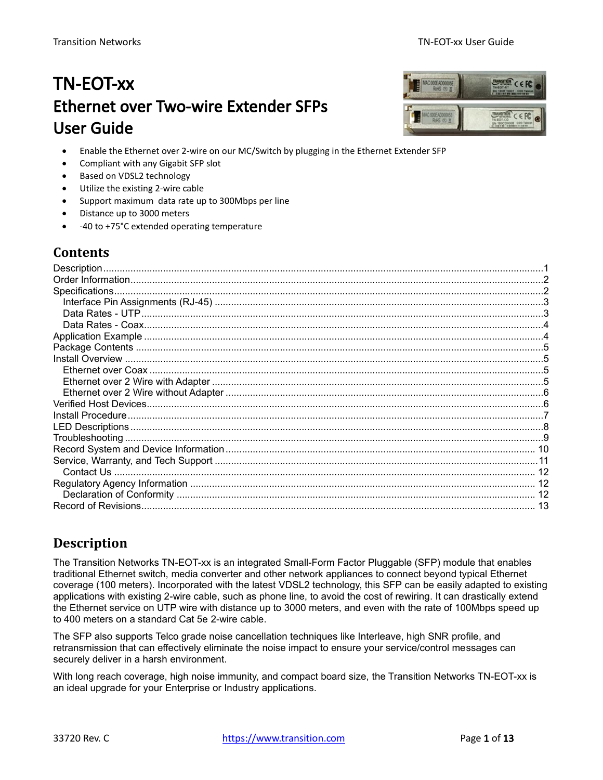# TN-EOT-xx Ethernet over Two-wire Extender SFPs User Guide



- Enable the Ethernet over 2-wire on our MC/Switch by plugging in the Ethernet Extender SFP
- Compliant with any Gigabit SFP slot
- Based on VDSL2 technology
- Utilize the existing 2-wire cable
- Support maximum data rate up to 300Mbps per line
- Distance up to 3000 meters
- -40 to +75°C extended operating temperature

## **Contents**

| Description    |  |
|----------------|--|
|                |  |
| Specifications |  |
|                |  |
|                |  |
|                |  |
|                |  |
|                |  |
|                |  |
|                |  |
|                |  |
|                |  |
|                |  |
|                |  |
|                |  |
|                |  |
|                |  |
|                |  |
|                |  |
|                |  |
|                |  |
|                |  |

## <span id="page-0-0"></span>**Description**

The Transition Networks TN-EOT-xx is an integrated Small-Form Factor Pluggable (SFP) module that enables traditional Ethernet switch, media converter and other network appliances to connect beyond typical Ethernet coverage (100 meters). Incorporated with the latest VDSL2 technology, this SFP can be easily adapted to existing applications with existing 2-wire cable, such as phone line, to avoid the cost of rewiring. It can drastically extend the Ethernet service on UTP wire with distance up to 3000 meters, and even with the rate of 100Mbps speed up to 400 meters on a standard Cat 5e 2-wire cable.

The SFP also supports Telco grade noise cancellation techniques like Interleave, high SNR profile, and retransmission that can effectively eliminate the noise impact to ensure your service/control messages can securely deliver in a harsh environment.

With long reach coverage, high noise immunity, and compact board size, the Transition Networks TN-EOT-xx is an ideal upgrade for your Enterprise or Industry applications.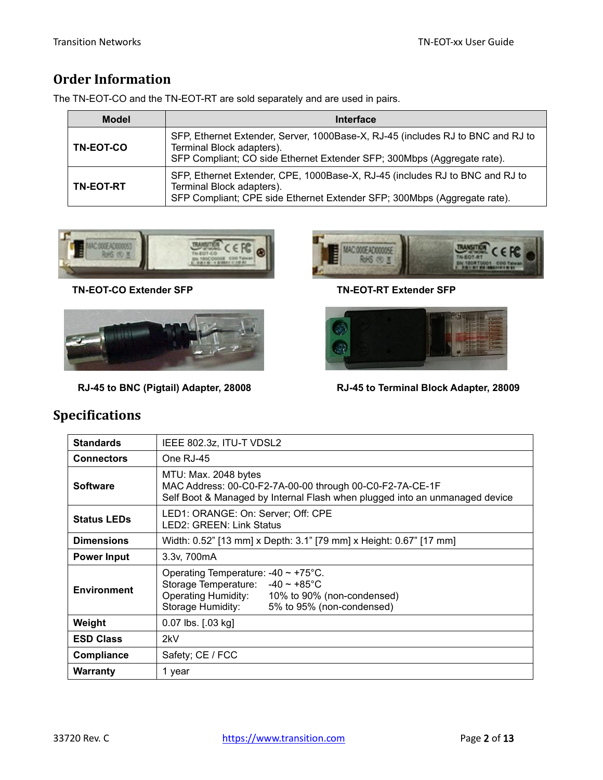## <span id="page-1-0"></span>**Order Information**

The TN-EOT-CO and the TN-EOT-RT are sold separately and are used in pairs.

| <b>Model</b>     | <b>Interface</b>                                                                                                                                                                        |
|------------------|-----------------------------------------------------------------------------------------------------------------------------------------------------------------------------------------|
| <b>TN-EOT-CO</b> | SFP, Ethernet Extender, Server, 1000Base-X, RJ-45 (includes RJ to BNC and RJ to<br>Terminal Block adapters).<br>SFP Compliant; CO side Ethernet Extender SFP; 300Mbps (Aggregate rate). |
| <b>TN-EOT-RT</b> | SFP, Ethernet Extender, CPE, 1000Base-X, RJ-45 (includes RJ to BNC and RJ to<br>Terminal Block adapters).<br>SFP Compliant; CPE side Ethernet Extender SFP; 300Mbps (Aggregate rate).   |



 **TN-EOT-CO Extender SFP TN-EOT-RT Extender SFP**







 **RJ-45 to BNC (Pigtail) Adapter, 28008 RJ-45 to Terminal Block Adapter, 28009** 

# Standards | IEEE 802.3z, ITU-T VDSL2 **Connectors** | One RJ-45

<span id="page-1-1"></span>**Specifications**

| <b>Connectors</b>  | One RJ-45                                                                                                                                                                                                       |  |  |
|--------------------|-----------------------------------------------------------------------------------------------------------------------------------------------------------------------------------------------------------------|--|--|
| <b>Software</b>    | MTU: Max. 2048 bytes<br>MAC Address: 00-C0-F2-7A-00-00 through 00-C0-F2-7A-CE-1F<br>Self Boot & Managed by Internal Flash when plugged into an unmanaged device                                                 |  |  |
| <b>Status LEDs</b> | LED1: ORANGE: On: Server; Off: CPE<br>LED2: GREEN: Link Status                                                                                                                                                  |  |  |
| <b>Dimensions</b>  | Width: 0.52" [13 mm] x Depth: 3.1" [79 mm] x Height: 0.67" [17 mm]                                                                                                                                              |  |  |
| <b>Power Input</b> | 3.3v, 700mA                                                                                                                                                                                                     |  |  |
| <b>Environment</b> | Operating Temperature: $-40 \sim +75^{\circ}$ C.<br>Storage Temperature: $-40 \sim +85^{\circ}$ C<br><b>Operating Humidity:</b><br>10% to 90% (non-condensed)<br>Storage Humidity:<br>5% to 95% (non-condensed) |  |  |
| Weight             | 0.07 lbs. [.03 kg]                                                                                                                                                                                              |  |  |
| <b>ESD Class</b>   | 2kV                                                                                                                                                                                                             |  |  |
| Compliance         | Safety; CE / FCC                                                                                                                                                                                                |  |  |
| <b>Warranty</b>    | 1 year                                                                                                                                                                                                          |  |  |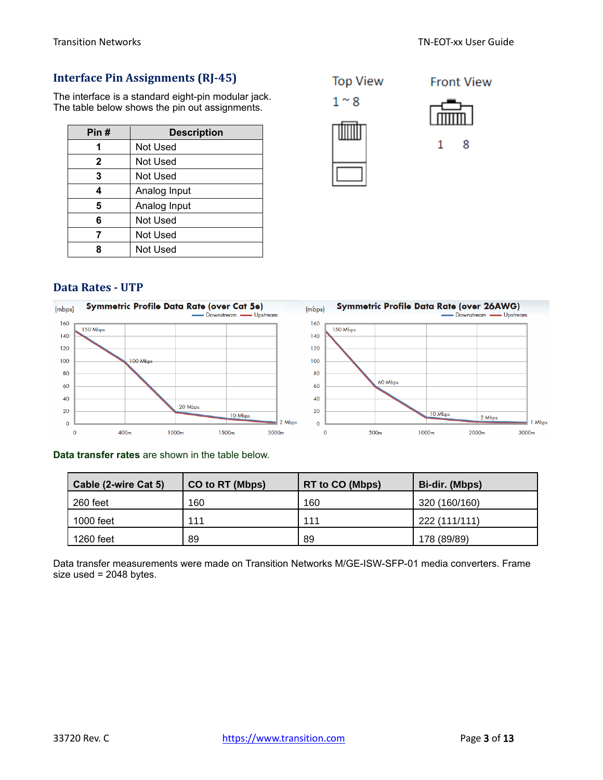**Front View** 

#### <span id="page-2-0"></span>**Interface Pin Assignments (RJ-45)**

The interface is a standard eight-pin modular jack. The table below shows the pin out assignments.

| Pin#         | <b>Description</b> |
|--------------|--------------------|
|              | Not Used           |
| $\mathbf{2}$ | Not Used           |
| 3            | Not Used           |
| 4            | Analog Input       |
| 5            | Analog Input       |
| 6            | <b>Not Used</b>    |
| 7            | Not Used           |
|              | Not Used           |



$$
\overline{\text{min}}
$$



#### <span id="page-2-1"></span>**Data Rates - UTP**



#### **Data transfer rates** are shown in the table below.

| Cable (2-wire Cat 5) | CO to RT (Mbps) | <b>RT to CO (Mbps)</b> | Bi-dir. (Mbps) |
|----------------------|-----------------|------------------------|----------------|
| 260 feet             | 160             | 160                    | 320 (160/160)  |
| 1000 feet            | 111             | 111                    | 222 (111/111)  |
| 1260 feet            | 89              | 89                     | 178 (89/89)    |

Data transfer measurements were made on Transition Networks M/GE-ISW-SFP-01 media converters. Frame size used = 2048 bytes.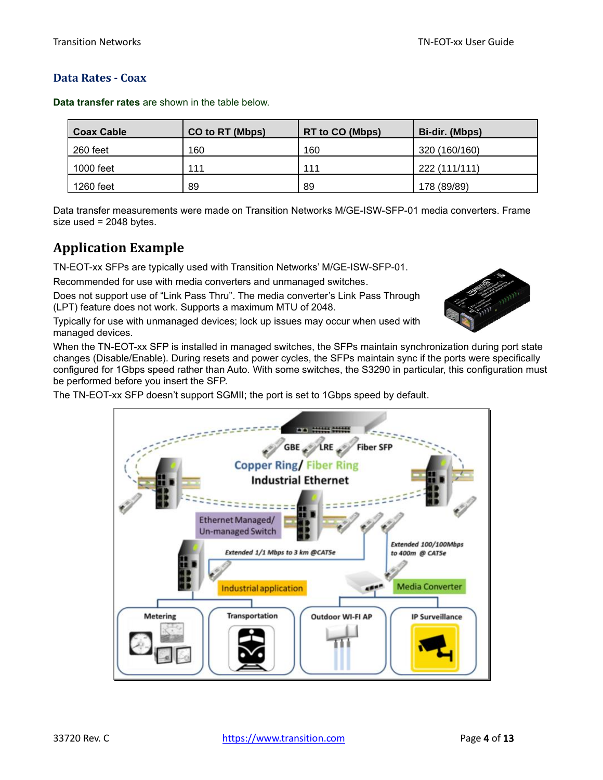#### <span id="page-3-0"></span>**Data Rates - Coax**

| <b>Coax Cable</b> | CO to RT (Mbps) | <b>RT to CO (Mbps)</b> | Bi-dir. (Mbps) |
|-------------------|-----------------|------------------------|----------------|
| 260 feet          | 160             | 160                    | 320 (160/160)  |
| 1000 feet         | 111             | 111                    | 222 (111/111)  |
| 1260 feet         | 89              | 89                     | 178 (89/89)    |

**Data transfer rates** are shown in the table below.

Data transfer measurements were made on Transition Networks M/GE-ISW-SFP-01 media converters. Frame size used = 2048 bytes.

## <span id="page-3-1"></span>**Application Example**

TN-EOT-xx SFPs are typically used with Transition Networks' M/GE-ISW-SFP-01.

Recommended for use with media converters and unmanaged switches.

Does not support use of "Link Pass Thru". The media converter's Link Pass Through (LPT) feature does not work. Supports a maximum MTU of 2048.

Typically for use with unmanaged devices; lock up issues may occur when used with managed devices.

When the TN-EOT-xx SFP is installed in managed switches, the SFPs maintain synchronization during port state changes (Disable/Enable). During resets and power cycles, the SFPs maintain sync if the ports were specifically configured for 1Gbps speed rather than Auto. With some switches, the S3290 in particular, this configuration must be performed before you insert the SFP.

The TN-EOT-xx SFP doesn't support SGMII; the port is set to 1Gbps speed by default.



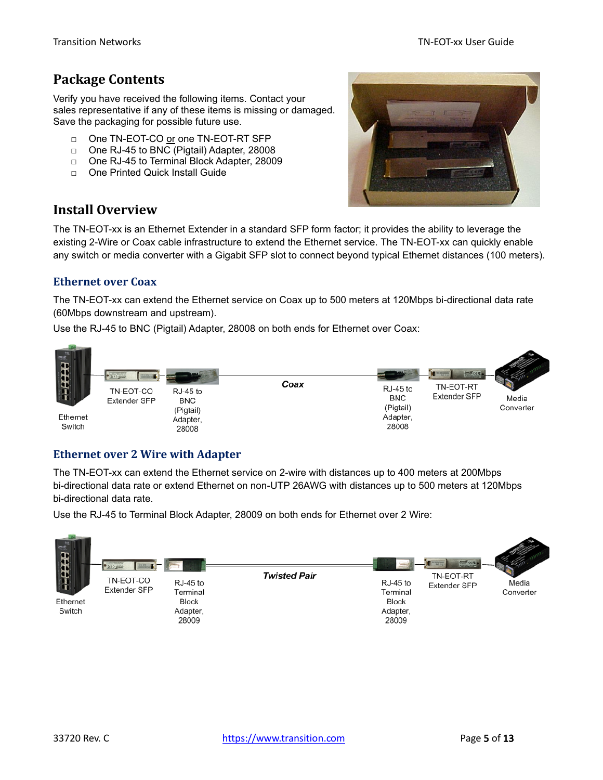## <span id="page-4-0"></span>**Package Contents**

Verify you have received the following items. Contact your sales representative if any of these items is missing or damaged. Save the packaging for possible future use.

- □ One TN-EOT-CO or one TN-EOT-RT SFP
- □ One RJ-45 to BNC (Pigtail) Adapter, 28008
- □ One RJ-45 to Terminal Block Adapter, 28009
- □ One Printed Quick Install Guide



## <span id="page-4-1"></span>**Install Overview**

The TN-EOT-xx is an Ethernet Extender in a standard SFP form factor; it provides the ability to leverage the existing 2-Wire or Coax cable infrastructure to extend the Ethernet service. The TN-EOT-xx can quickly enable any switch or media converter with a Gigabit SFP slot to connect beyond typical Ethernet distances (100 meters).

#### <span id="page-4-2"></span>**Ethernet over Coax**

The TN-EOT-xx can extend the Ethernet service on Coax up to 500 meters at 120Mbps bi-directional data rate (60Mbps downstream and upstream).

Use the RJ-45 to BNC (Pigtail) Adapter, 28008 on both ends for Ethernet over Coax:



#### <span id="page-4-3"></span>**Ethernet over 2 Wire with Adapter**

The TN-EOT-xx can extend the Ethernet service on 2-wire with distances up to 400 meters at 200Mbps bi-directional data rate or extend Ethernet on non-UTP 26AWG with distances up to 500 meters at 120Mbps bi-directional data rate.

Use the RJ-45 to Terminal Block Adapter, 28009 on both ends for Ethernet over 2 Wire:

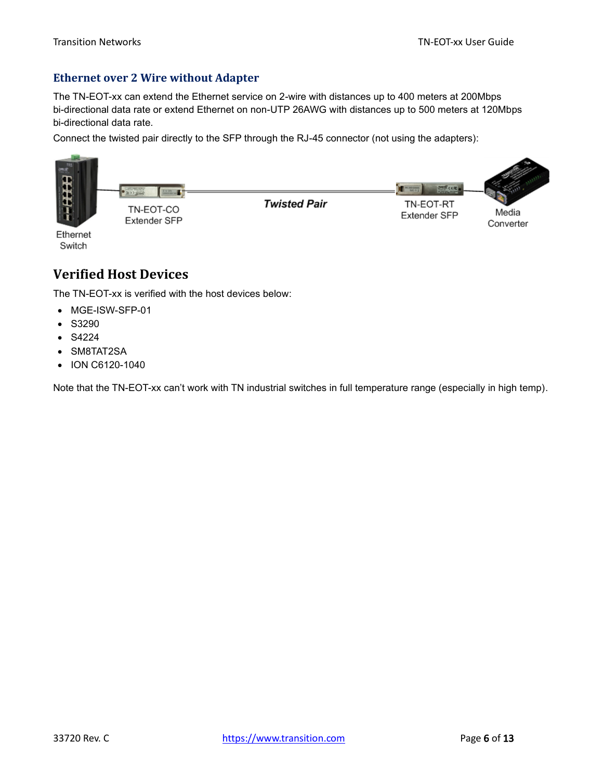#### <span id="page-5-0"></span>**Ethernet over 2 Wire without Adapter**

The TN-EOT-xx can extend the Ethernet service on 2-wire with distances up to 400 meters at 200Mbps bi-directional data rate or extend Ethernet on non-UTP 26AWG with distances up to 500 meters at 120Mbps bi-directional data rate.

Connect the twisted pair directly to the SFP through the RJ-45 connector (not using the adapters):



Ethernet Switch

## <span id="page-5-1"></span>**Verified Host Devices**

The TN-EOT-xx is verified with the host devices below:

- MGE-ISW-SFP-01
- S3290
- S4224
- SM8TAT2SA
- ION C6120-1040

Note that the TN-EOT-xx can't work with TN industrial switches in full temperature range (especially in high temp).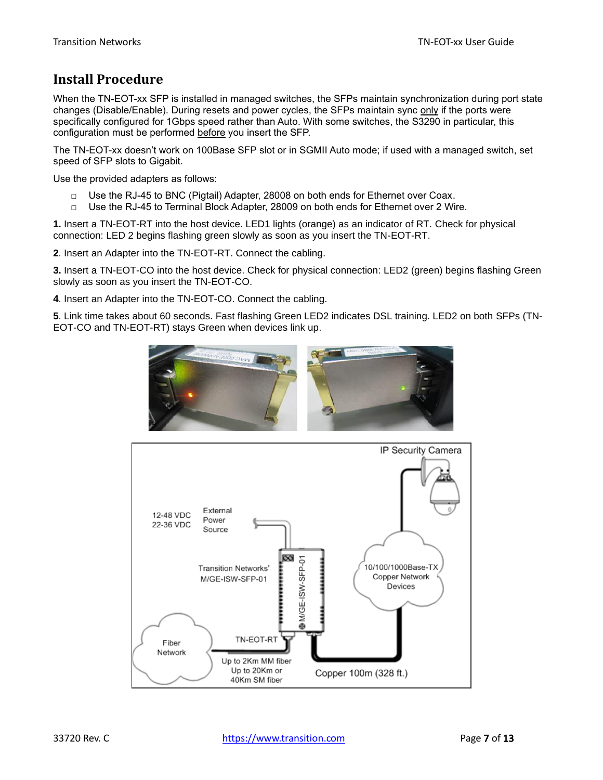## <span id="page-6-0"></span>**Install Procedure**

When the TN-EOT-xx SFP is installed in managed switches, the SFPs maintain synchronization during port state changes (Disable/Enable). During resets and power cycles, the SFPs maintain sync only if the ports were specifically configured for 1Gbps speed rather than Auto. With some switches, the S3290 in particular, this configuration must be performed before you insert the SFP.

The TN-EOT-xx doesn't work on 100Base SFP slot or in SGMII Auto mode; if used with a managed switch, set speed of SFP slots to Gigabit.

Use the provided adapters as follows:

- $\Box$  Use the RJ-45 to BNC (Pigtail) Adapter, 28008 on both ends for Ethernet over Coax.
- □ Use the RJ-45 to Terminal Block Adapter, 28009 on both ends for Ethernet over 2 Wire.

**1.** Insert a TN-EOT-RT into the host device. LED1 lights (orange) as an indicator of RT. Check for physical connection: LED 2 begins flashing green slowly as soon as you insert the TN-EOT-RT.

**2**. Insert an Adapter into the TN-EOT-RT. Connect the cabling.

**3.** Insert a TN-EOT-CO into the host device. Check for physical connection: LED2 (green) begins flashing Green slowly as soon as you insert the TN-EOT-CO.

**4**. Insert an Adapter into the TN-EOT-CO. Connect the cabling.

**5**. Link time takes about 60 seconds. Fast flashing Green LED2 indicates DSL training. LED2 on both SFPs (TN-EOT-CO and TN-EOT-RT) stays Green when devices link up.



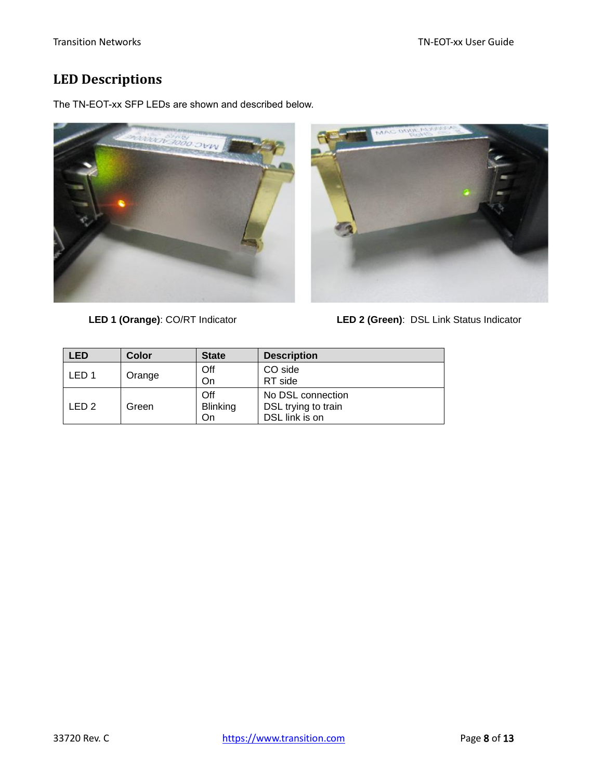## <span id="page-7-0"></span>**LED Descriptions**

The TN-EOT-xx SFP LEDs are shown and described below.





**LED 1 (Orange)**: CO/RT Indicator **LED 2 (Green)**: DSL Link Status Indicator

| LED              | Color  | <b>State</b>    | <b>Description</b>  |
|------------------|--------|-----------------|---------------------|
| LED <sub>1</sub> | Orange | Off             | CO side             |
|                  |        | On              | RT side             |
| LED <sub>2</sub> | Green  | Off             | No DSL connection   |
|                  |        | <b>Blinking</b> | DSL trying to train |
|                  |        | On              | DSL link is on      |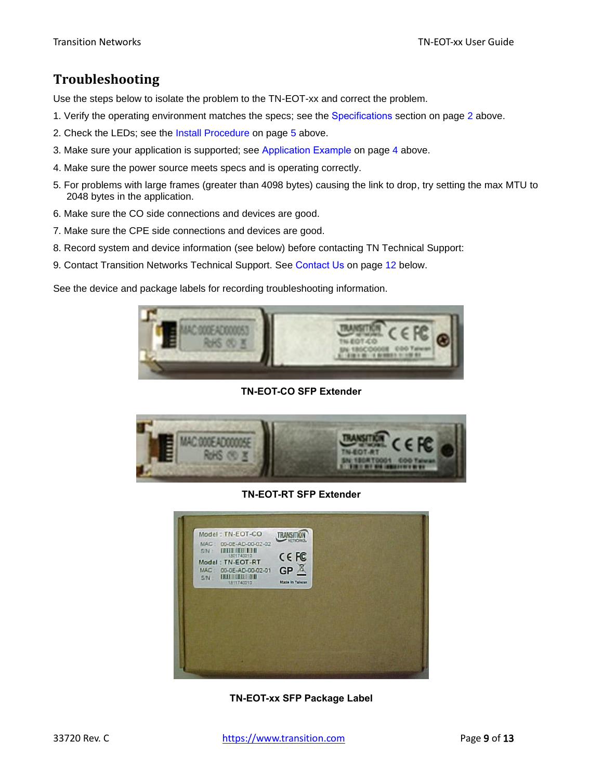## <span id="page-8-0"></span>**Troubleshooting**

Use the steps below to isolate the problem to the TN-EOT-xx and correct the problem.

- 1. Verify the operating environment matches the specs; see the [Specifications](#page-1-1) section on page [2](#page-1-1) above.
- 2. Check the LEDs; see the Install Procedure on page [5](#page-4-0) above.
- 3. Make sure your application is supported; see [Application Example](#page-3-1) on page [4](#page-3-1) above.
- 4. Make sure the power source meets specs and is operating correctly.
- 5. For problems with large frames (greater than 4098 bytes) causing the link to drop, try setting the max MTU to 2048 bytes in the application.
- 6. Make sure the CO side connections and devices are good.
- 7. Make sure the CPE side connections and devices are good.
- 8. Record system and device information (see below) before contacting TN Technical Support:
- 9. Contact Transition Networks Technical Support. See [Contact Us](#page-11-0) on page [12](#page-11-0) below.

See the device and package labels for recording troubleshooting information.



**TN-EOT-CO SFP Extender**



**TN-EOT-RT SFP Extender**

| MAC: 00-0E-AD-00-02-02<br>S/N : ITITI ITI ITI<br>Model: TN-EOT-RT<br>MAC: 00-0E-AD-00-02-01 | CE FC<br>$GP$ $X$ |  |
|---------------------------------------------------------------------------------------------|-------------------|--|
| SA DUI QUI DE<br>1811740010                                                                 | Mada in Talvan    |  |
|                                                                                             |                   |  |
|                                                                                             |                   |  |
|                                                                                             |                   |  |

**TN-EOT-xx SFP Package Label**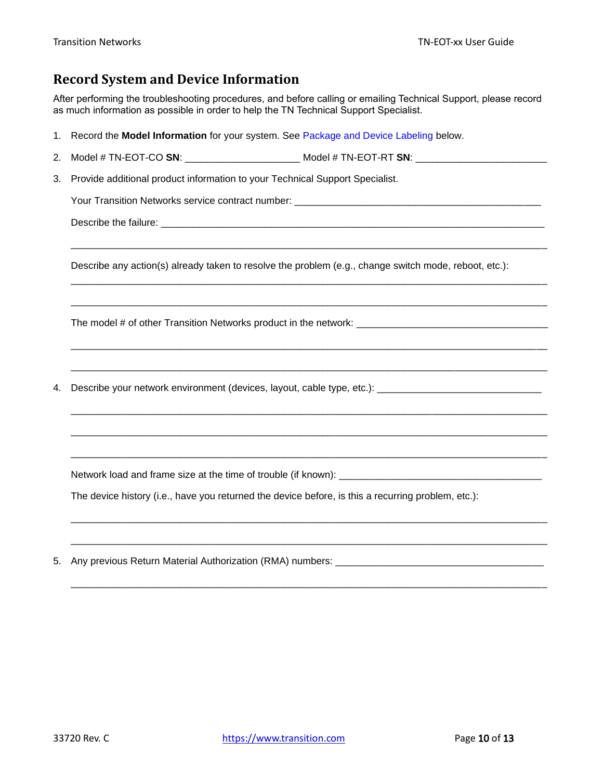## <span id="page-9-0"></span>**Record System and Device Information**

After performing the troubleshooting procedures, and before calling or emailing Technical Support, please record as much information as possible in order to help the TN Technical Support Specialist.

| 1. | Record the Model Information for your system. See Package and Device Labeling below.                  |  |  |  |  |
|----|-------------------------------------------------------------------------------------------------------|--|--|--|--|
| 2. | Model # TN-EOT-CO SN: _________________________ Model # TN-EOT-RT SN: _____________________________   |  |  |  |  |
| 3. | Provide additional product information to your Technical Support Specialist.                          |  |  |  |  |
|    |                                                                                                       |  |  |  |  |
|    |                                                                                                       |  |  |  |  |
|    | Describe any action(s) already taken to resolve the problem (e.g., change switch mode, reboot, etc.): |  |  |  |  |
|    |                                                                                                       |  |  |  |  |
| 4. | Describe your network environment (devices, layout, cable type, etc.): ____________________________   |  |  |  |  |
|    |                                                                                                       |  |  |  |  |
|    | The device history (i.e., have you returned the device before, is this a recurring problem, etc.):    |  |  |  |  |
| 5. |                                                                                                       |  |  |  |  |

\_\_\_\_\_\_\_\_\_\_\_\_\_\_\_\_\_\_\_\_\_\_\_\_\_\_\_\_\_\_\_\_\_\_\_\_\_\_\_\_\_\_\_\_\_\_\_\_\_\_\_\_\_\_\_\_\_\_\_\_\_\_\_\_\_\_\_\_\_\_\_\_\_\_\_\_\_\_\_\_\_\_\_\_\_\_\_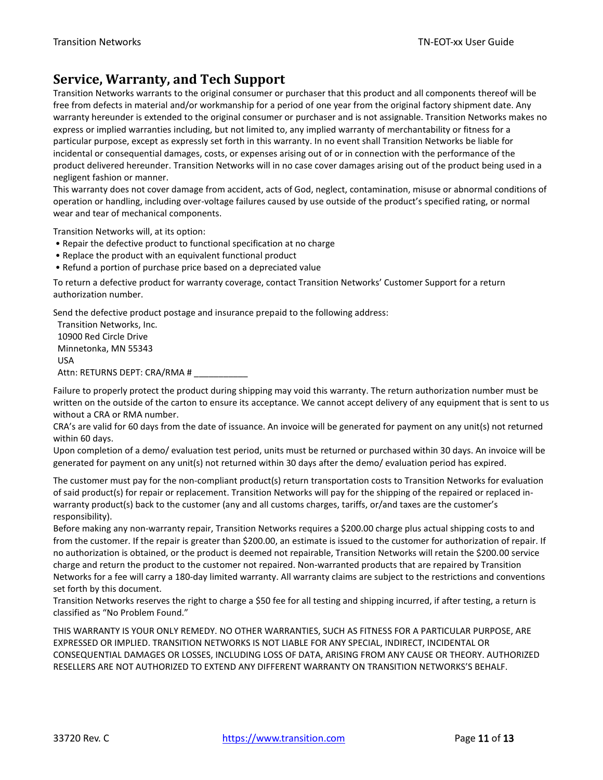## <span id="page-10-0"></span>**Service, Warranty, and Tech Support**

Transition Networks warrants to the original consumer or purchaser that this product and all components thereof will be free from defects in material and/or workmanship for a period of one year from the original factory shipment date. Any warranty hereunder is extended to the original consumer or purchaser and is not assignable. Transition Networks makes no express or implied warranties including, but not limited to, any implied warranty of merchantability or fitness for a particular purpose, except as expressly set forth in this warranty. In no event shall Transition Networks be liable for incidental or consequential damages, costs, or expenses arising out of or in connection with the performance of the product delivered hereunder. Transition Networks will in no case cover damages arising out of the product being used in a negligent fashion or manner.

This warranty does not cover damage from accident, acts of God, neglect, contamination, misuse or abnormal conditions of operation or handling, including over-voltage failures caused by use outside of the product's specified rating, or normal wear and tear of mechanical components.

Transition Networks will, at its option:

- Repair the defective product to functional specification at no charge
- Replace the product with an equivalent functional product
- Refund a portion of purchase price based on a depreciated value

To return a defective product for warranty coverage, contact Transition Networks' Customer Support for a return authorization number.

Send the defective product postage and insurance prepaid to the following address:

Transition Networks, Inc. 10900 Red Circle Drive Minnetonka, MN 55343 USA Attn: RETURNS DEPT: CRA/RMA # \_\_\_\_\_\_

Failure to properly protect the product during shipping may void this warranty. The return authorization number must be written on the outside of the carton to ensure its acceptance. We cannot accept delivery of any equipment that is sent to us without a CRA or RMA number.

CRA's are valid for 60 days from the date of issuance. An invoice will be generated for payment on any unit(s) not returned within 60 days.

Upon completion of a demo/ evaluation test period, units must be returned or purchased within 30 days. An invoice will be generated for payment on any unit(s) not returned within 30 days after the demo/ evaluation period has expired.

The customer must pay for the non-compliant product(s) return transportation costs to Transition Networks for evaluation of said product(s) for repair or replacement. Transition Networks will pay for the shipping of the repaired or replaced inwarranty product(s) back to the customer (any and all customs charges, tariffs, or/and taxes are the customer's responsibility).

Before making any non-warranty repair, Transition Networks requires a \$200.00 charge plus actual shipping costs to and from the customer. If the repair is greater than \$200.00, an estimate is issued to the customer for authorization of repair. If no authorization is obtained, or the product is deemed not repairable, Transition Networks will retain the \$200.00 service charge and return the product to the customer not repaired. Non-warranted products that are repaired by Transition Networks for a fee will carry a 180-day limited warranty. All warranty claims are subject to the restrictions and conventions set forth by this document.

Transition Networks reserves the right to charge a \$50 fee for all testing and shipping incurred, if after testing, a return is classified as "No Problem Found."

THIS WARRANTY IS YOUR ONLY REMEDY. NO OTHER WARRANTIES, SUCH AS FITNESS FOR A PARTICULAR PURPOSE, ARE EXPRESSED OR IMPLIED. TRANSITION NETWORKS IS NOT LIABLE FOR ANY SPECIAL, INDIRECT, INCIDENTAL OR CONSEQUENTIAL DAMAGES OR LOSSES, INCLUDING LOSS OF DATA, ARISING FROM ANY CAUSE OR THEORY. AUTHORIZED RESELLERS ARE NOT AUTHORIZED TO EXTEND ANY DIFFERENT WARRANTY ON TRANSITION NETWORKS'S BEHALF.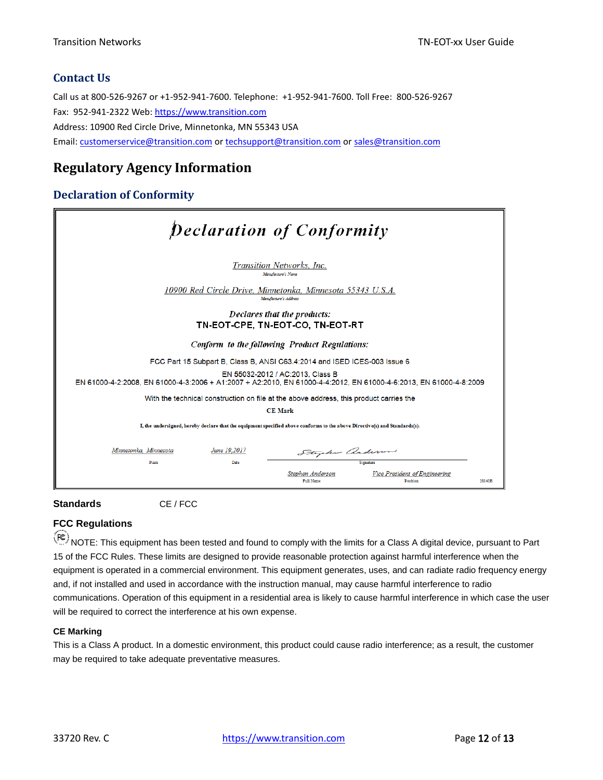#### <span id="page-11-0"></span>**Contact Us**

Call us at 800-526-9267 or +1-952-941-7600. Telephone: +1-952-941-7600. Toll Free: 800-526-9267 Fax: 952-941-2322 Web: [https://www.transition.com](https://www.transition.com/) Address: 10900 Red Circle Drive, Minnetonka, MN 55343 USA Email: [customerservice@transition.com](mailto:customerservice@transition.com) or [techsupport@transition.com](mailto:techsupport@transition.com) o[r sales@transition.com](mailto:sales@transition.com)

### <span id="page-11-1"></span>**Regulatory Agency Information**

#### <span id="page-11-2"></span>**Declaration of Conformity**

| <b>Declaration of Conformity</b>                                                                                                                      |  |  |  |  |
|-------------------------------------------------------------------------------------------------------------------------------------------------------|--|--|--|--|
| Transition Networks, Inc.<br>Manufacture's Name                                                                                                       |  |  |  |  |
| 10900 Red Circle Drive. Minnetonka. Minnesota 55343 U.S.A.<br>Manufacture's Address                                                                   |  |  |  |  |
| Declares that the products:<br>TN-EOT-CPE, TN-EOT-CO, TN-EOT-RT                                                                                       |  |  |  |  |
| Conform to the following Product Regulations:                                                                                                         |  |  |  |  |
| FCC Part 15 Subpart B, Class B, ANSI C63.4:2014 and ISED ICES-003 Issue 6                                                                             |  |  |  |  |
| EN 55032-2012 / AC:2013, Class B<br>EN 61000-4-2:2008, EN 61000-4-3:2006 + A1:2007 + A2:2010, EN 61000-4-4:2012, EN 61000-4-6:2013. EN 61000-4-8:2009 |  |  |  |  |
| With the technical construction on file at the above address, this product carries the                                                                |  |  |  |  |
| <b>CE Mark</b>                                                                                                                                        |  |  |  |  |
| I, the undersigned, hereby declare that the equipment specified above conforms to the above Directive(s) and Standards(s).                            |  |  |  |  |
| Minnetonka, Minnesota<br>June 19,2017<br>Stephen anderson                                                                                             |  |  |  |  |
| Place<br>Date<br>Signature<br>Vice President of Engineering<br>Stephen Anderson<br>Full Name<br>Position<br>28141B                                    |  |  |  |  |



#### **FCC Regulations**

NOTE: This equipment has been tested and found to comply with the limits for a Class A digital device, pursuant to Part 15 of the FCC Rules. These limits are designed to provide reasonable protection against harmful interference when the equipment is operated in a commercial environment. This equipment generates, uses, and can radiate radio frequency energy and, if not installed and used in accordance with the instruction manual, may cause harmful interference to radio communications. Operation of this equipment in a residential area is likely to cause harmful interference in which case the user will be required to correct the interference at his own expense.

#### **CE Marking**

This is a Class A product. In a domestic environment, this product could cause radio interference; as a result, the customer may be required to take adequate preventative measures.